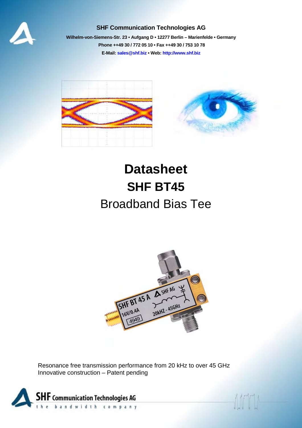

## **SHF Communication Technologies AG**

**Wilhelm-von-Siemens-Str. 23 [• Aufgang](mailto:mail@shf.biz) D • 12[277 Berlin – Marien](http://www.shf.biz/)felde • Germany Phone ++49 30 / 772 05 10 • Fax ++49 30 / 753 10 78 E-Mail: sales@shf.biz • Web: http://www.shf.biz**



# **Datasheet SHF BT45**  Broadband Bias Tee



Resonance free transmission performance from 20 kHz to over 45 GHz Innovative construction – Patent pending

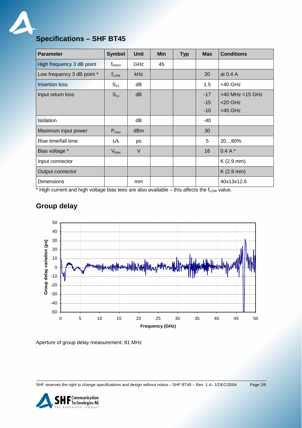

# **Specifications – SHF BT45**

| <b>Parameter</b>           | <b>Symbol</b>     | <b>Unit</b>     | Min | <b>Typ</b> | <b>Max</b> | <b>Conditions</b> |
|----------------------------|-------------------|-----------------|-----|------------|------------|-------------------|
| High frequency 3 dB point  | $f_{\text{HIGH}}$ | <b>GHz</b>      | 45  |            |            |                   |
| Low frequency 3 dB point * | $f_{LOW}$         | kHz             |     |            | 20         | at 0.4 A          |
| Insertion loss             | $S_{21}$          | dB              |     |            | 1.5        | $<$ 40 GHz        |
| Input return loss          | $S_{11}$          | dB              |     |            | $-17$      | >40 MHz <15 GHz   |
|                            |                   |                 |     |            | $-15$      | $<$ 20 GHz        |
|                            |                   |                 |     |            | $-10$      | $<$ 45 GHz        |
| <b>Isolation</b>           |                   | dB              |     |            | -40        |                   |
| Maximum input power        | $P_{\text{max}}$  | d <sub>Bm</sub> |     |            | 30         |                   |
| Rise time/fall time        | $t_r/t_f$         | ps              |     |            | 5          | 2080%             |
| Bias voltage *             | V <sub>bias</sub> | $\vee$          |     |            | 16         | $0.4 A*$          |
| Input connector            |                   |                 |     |            |            | $K(2.9$ mm)       |
| Output connector           |                   |                 |     |            |            | $K(2.9$ mm)       |
| <b>Dimensions</b>          |                   | mm              |     |            |            | 40x13x12.6        |

 $*$  High current and high voltage bias tees are also available – this affects the  $f_{Low}$  value.

# **Group delay**



Aperture of group delay measurement: 81 MHz

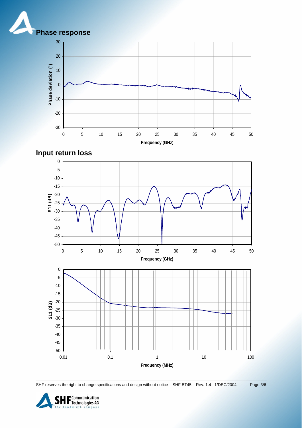







SHF reserves the right to change specifications and design without notice – SHF BT45 – Rev. 1.4– 1/DEC/2004 Page 3/6

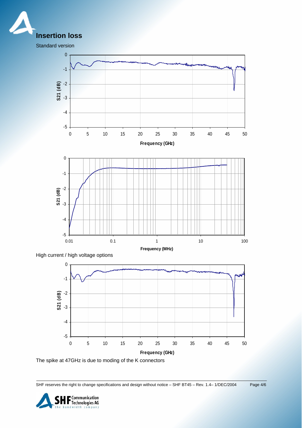

Standard version



The spike at 47GHz is due to moding of the K connectors

SHF reserves the right to change specifications and design without notice – SHF BT45 – Rev. 1.4– 1/DEC/2004 Page 4/6

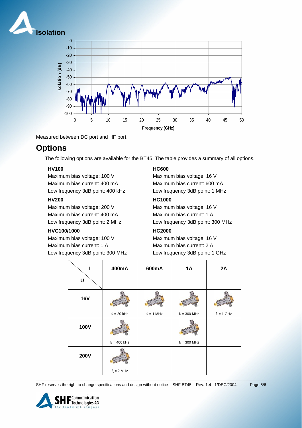



Measured between DC port and HF port.

# **Options**

The following options are available for the BT45. The table provides a summary of all options.

#### **HV100**

Maximum bias voltage: 100 V Maximum bias current: 400 mA Low frequency 3dB point: 400 kHz

#### **HV200**

Maximum bias voltage: 200 V Maximum bias current: 400 mA Low frequency 3dB point: 2 MHz

#### **HVC100/1000**

Maximum bias voltage: 100 V Maximum bias current: 1 A Low frequency 3dB point: 300 MHz

## **HC600**

Maximum bias voltage: 16 V Maximum bias current: 600 mA Low frequency 3dB point: 1 MHz

#### **HC1000**

Maximum bias voltage: 16 V Maximum bias current: 1 A Low frequency 3dB point: 300 MHz

## **HC2000**

Maximum bias voltage: 16 V Maximum bias current: 2 A Low frequency 3dB point: 1 GHz

|             | 400mA           | 600mA         | <b>1A</b>       | 2A            |
|-------------|-----------------|---------------|-----------------|---------------|
| U           |                 |               |                 |               |
| <b>16V</b>  |                 |               |                 |               |
|             | $f_L = 20$ kHz  | $f_L = 1$ MHz | $f_L = 300$ MHz | $f_L = 1$ GHz |
| <b>100V</b> |                 |               |                 |               |
|             | $f_L = 400$ kHz |               | $f_L = 300$ MHz |               |
| <b>200V</b> |                 |               |                 |               |
|             | $f_L = 2 MHz$   |               |                 |               |

SHF reserves the right to change specifications and design without notice - SHF BT45 - Rev. 1.4-1/DEC/2004 Page 5/6